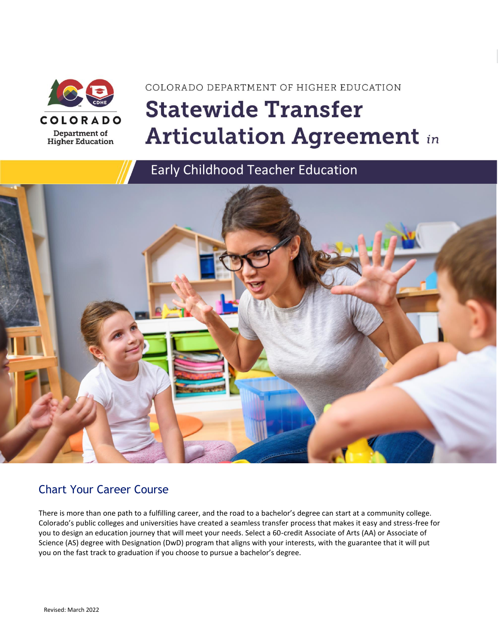

# COLORADO DEPARTMENT OF HIGHER EDUCATION **Statewide Transfer Articulation Agreement in**

### Early Childhood Teacher Education



### Chart Your Career Course

There is more than one path to a fulfilling career, and the road to a bachelor's degree can start at a community college. Colorado's public colleges and universities have created a seamless transfer process that makes it easy and stress-free for you to design an education journey that will meet your needs. Select a 60-credit Associate of Arts (AA) or Associate of Science (AS) degree with Designation (DwD) program that aligns with your interests, with the guarantee that it will put you on the fast track to graduation if you choose to pursue a bachelor's degree.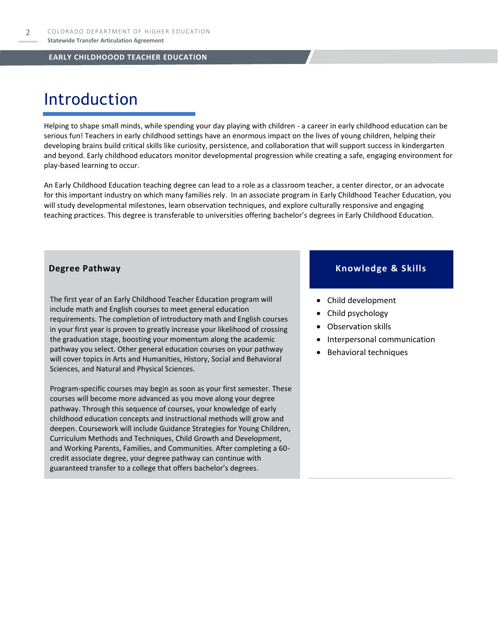# Introduction

Helping to shape small minds, while spending your day playing with children - a career in early childhood education can be serious fun! Teachers in early childhood settings have an enormous impact on the lives of young children, helping their developing brains build critical skills like curiosity, persistence, and collaboration that will support success in kindergarten and beyond. Early childhood educators monitor developmental progression while creating a safe, engaging environment for play-based learning to occur.

An Early Childhood Education teaching degree can lead to a role as a classroom teacher, a center director, or an advocate for this important industry on which many families rely. In an associate program in Early Childhood Teacher Education, you will study developmental milestones, learn observation techniques, and explore culturally responsive and engaging teaching practices. This degree is transferable to universities offering bachelor's degrees in Early Childhood Education.

The first year of an Early Childhood Teacher Education program will include math and English courses to meet general education requirements. The completion of introductory math and English courses in your first year is proven to greatly increase your likelihood of crossing the graduation stage, boosting your momentum along the academic pathway you select. Other general education courses on your pathway will cover topics in Arts and Humanities, History, Social and Behavioral Sciences, and Natural and Physical Sciences.

Program-specific courses may begin as soon as your first semester. These courses will become more advanced as you move along your degree pathway. Through this sequence of courses, your knowledge of early childhood education concepts and instructional methods will grow and deepen. Coursework will include Guidance Strategies for Young Children, Curriculum Methods and Techniques, Child Growth and Development, and Working Parents, Families, and Communities. After completing a 60 credit associate degree, your degree pathway can continue with guaranteed transfer to a college that offers bachelor's degrees.

#### **Degree Pathway Knowledge & Skills**

- Child development
- Child psychology
- Observation skills
- Interpersonal communication
- Behavioral techniques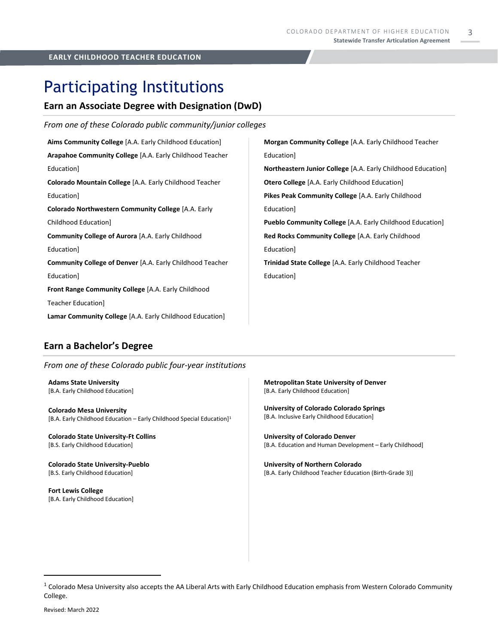3

### Participating Institutions

#### **Earn an Associate Degree with Designation (DwD)**

| From one of these Colorado public community/junior colleges      |                                                                     |
|------------------------------------------------------------------|---------------------------------------------------------------------|
| Aims Community College [A.A. Early Childhood Education]          | Morgan Community College [A.A. Early Childhood Teacher              |
| Arapahoe Community College [A.A. Early Childhood Teacher         | Education]                                                          |
| Education]                                                       | <b>Northeastern Junior College</b> [A.A. Early Childhood Education] |
| Colorado Mountain College [A.A. Early Childhood Teacher          | <b>Otero College</b> [A.A. Early Childhood Education]               |
| Education]                                                       | Pikes Peak Community College [A.A. Early Childhood                  |
| Colorado Northwestern Community College [A.A. Early              | Education]                                                          |
| Childhood Education                                              | <b>Pueblo Community College</b> [A.A. Early Childhood Education]    |
| <b>Community College of Aurora</b> [A.A. Early Childhood         | Red Rocks Community College [A.A. Early Childhood                   |
| Education]                                                       | Education]                                                          |
| <b>Community College of Denver [A.A. Early Childhood Teacher</b> | <b>Trinidad State College</b> [A.A. Early Childhood Teacher         |
| Education]                                                       | Education]                                                          |
| Front Range Community College [A.A. Early Childhood              |                                                                     |
| Teacher Education]                                               |                                                                     |
| Lamar Community College [A.A. Early Childhood Education]         |                                                                     |

#### **Earn a Bachelor's Degree**

*From one of these Colorado public four-year institutions*

**Adams State University**  [B.A. Early Childhood Education]

**Colorado Mesa University**  [B.A. Early Childhood Education – Early Childhood Special Education] 1

**Colorado State University-Ft Collins**  [B.S. Early Childhood Education]

**Colorado State University-Pueblo**  [B.S. Early Childhood Education]

**Fort Lewis College**  [B.A. Early Childhood Education] **Metropolitan State University of Denver**  [B.A. Early Childhood Education]

**University of Colorado Colorado Springs**  [B.A. Inclusive Early Childhood Education]

**University of Colorado Denver** [B.A. Education and Human Development – Early Childhood]

**University of Northern Colorado** [B.A. Early Childhood Teacher Education (Birth-Grade 3)]

 $1$  Colorado Mesa University also accepts the AA Liberal Arts with Early Childhood Education emphasis from Western Colorado Community College.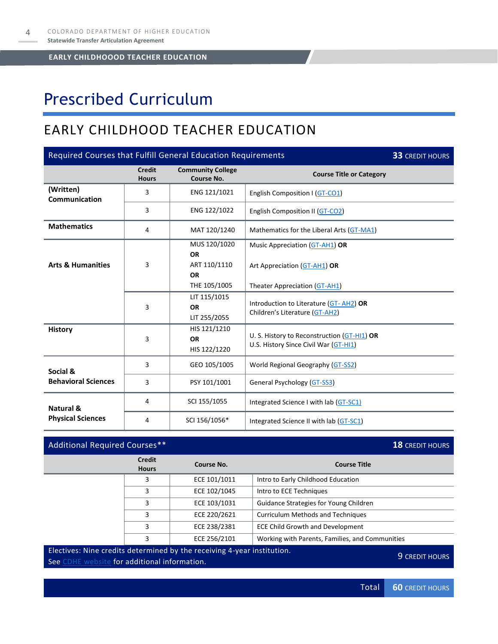# Prescribed Curriculum

### EARLY CHILDHOOD TEACHER EDUCATION

| Required Courses that Fulfill General Education Requirements<br><b>33 CREDIT HOURS</b> |                               |                                               |                                                                                      |  |
|----------------------------------------------------------------------------------------|-------------------------------|-----------------------------------------------|--------------------------------------------------------------------------------------|--|
|                                                                                        | <b>Credit</b><br><b>Hours</b> | <b>Community College</b><br><b>Course No.</b> | <b>Course Title or Category</b>                                                      |  |
| (Written)<br>Communication                                                             | 3                             | ENG 121/1021                                  | English Composition I (GT-CO1)                                                       |  |
|                                                                                        | 3                             | ENG 122/1022                                  | English Composition II (GT-CO2)                                                      |  |
| <b>Mathematics</b>                                                                     | 4                             | MAT 120/1240                                  | Mathematics for the Liberal Arts (GT-MA1)                                            |  |
|                                                                                        |                               | MUS 120/1020<br><b>OR</b>                     | Music Appreciation (GT-AH1) OR                                                       |  |
| <b>Arts &amp; Humanities</b>                                                           | 3                             | ART 110/1110<br><b>OR</b>                     | Art Appreciation (GT-AH1) OR                                                         |  |
|                                                                                        |                               | THE 105/1005                                  | Theater Appreciation (GT-AH1)                                                        |  |
|                                                                                        | 3                             | LIT 115/1015<br><b>OR</b><br>LIT 255/2055     | Introduction to Literature (GT-AH2) OR<br>Children's Literature (GT-AH2)             |  |
| <b>History</b>                                                                         | 3                             | HIS 121/1210<br><b>OR</b><br>HIS 122/1220     | U. S. History to Reconstruction (GT-HI1) OR<br>U.S. History Since Civil War (GT-HI1) |  |
| Social &                                                                               | 3                             | GEO 105/1005                                  | World Regional Geography (GT-SS2)                                                    |  |
| <b>Behavioral Sciences</b>                                                             | 3                             | PSY 101/1001                                  | <b>General Psychology (GT-SS3)</b>                                                   |  |
| Natural &                                                                              | 4                             | SCI 155/1055                                  | Integrated Science I with lab (GT-SC1)                                               |  |
| <b>Physical Sciences</b>                                                               | 4                             | SCI 156/1056*                                 | Integrated Science II with lab (GT-SC1)                                              |  |

### Additional Required Courses<sup>\*\*</sup> **18** CREDIT HOURS

| <b>Credit</b><br><b>Hours</b> | Course No.   | <b>Course Title</b>                             |
|-------------------------------|--------------|-------------------------------------------------|
| 3                             | ECE 101/1011 | Intro to Early Childhood Education              |
| ς                             | ECE 102/1045 | Intro to ECE Techniques                         |
| 3                             | ECE 103/1031 | Guidance Strategies for Young Children          |
|                               | ECE 220/2621 | <b>Curriculum Methods and Techniques</b>        |
| ς                             | ECE 238/2381 | <b>ECE Child Growth and Development</b>         |
|                               | ECE 256/2101 | Working with Parents, Families, and Communities |

#### Electives: Nine credits determined by the receiving 4-year institution.

See [CDHE website](https://highered.colorado.gov/transfer-degrees) for additional information. See CDHE website for additional information.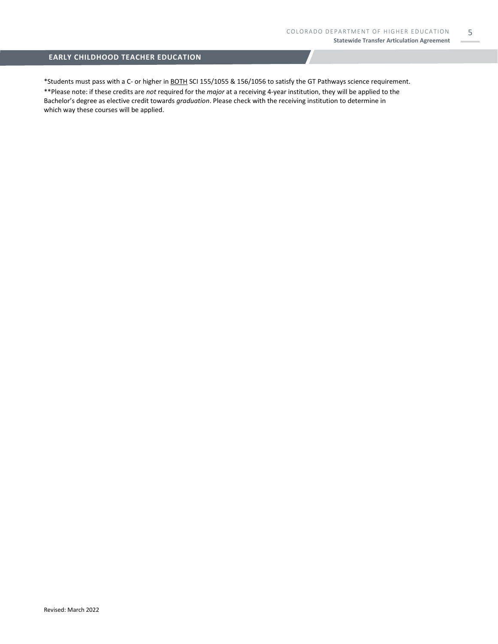5

#### **EARLY CHILDHOOD TEACHER EDUCATION**

\*Students must pass with a C- or higher in BOTH SCI 155/1055 & 156/1056 to satisfy the GT Pathways science requirement. \*\*Please note: if these credits are *not* required for the *major* at a receiving 4-year institution, they will be applied to the Bachelor's degree as elective credit towards *graduation*. Please check with the receiving institution to determine in which way these courses will be applied.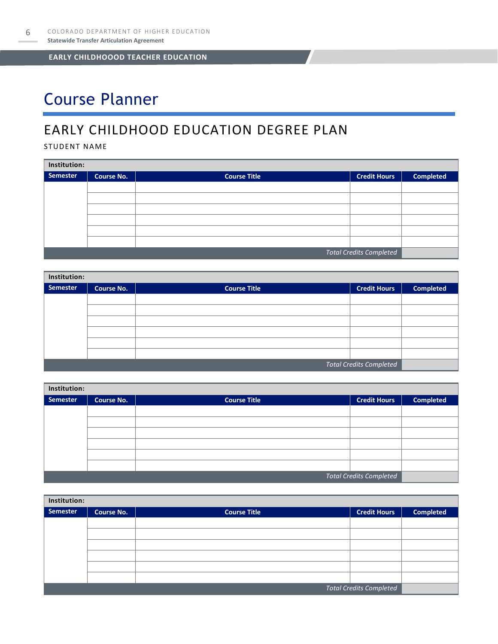# Course Planner

### EARLY CHILDHOOD EDUCATION DEGREE PLAN

STUDENT NAME

| Institution:                   |                   |                     |                     |                  |  |  |
|--------------------------------|-------------------|---------------------|---------------------|------------------|--|--|
| Semester                       | <b>Course No.</b> | <b>Course Title</b> | <b>Credit Hours</b> | <b>Completed</b> |  |  |
|                                |                   |                     |                     |                  |  |  |
|                                |                   |                     |                     |                  |  |  |
|                                |                   |                     |                     |                  |  |  |
|                                |                   |                     |                     |                  |  |  |
|                                |                   |                     |                     |                  |  |  |
|                                |                   |                     |                     |                  |  |  |
| <b>Total Credits Completed</b> |                   |                     |                     |                  |  |  |

| Institution:                   |                   |                     |                     |                  |  |  |
|--------------------------------|-------------------|---------------------|---------------------|------------------|--|--|
| Semester                       | <b>Course No.</b> | <b>Course Title</b> | <b>Credit Hours</b> | <b>Completed</b> |  |  |
|                                |                   |                     |                     |                  |  |  |
|                                |                   |                     |                     |                  |  |  |
|                                |                   |                     |                     |                  |  |  |
|                                |                   |                     |                     |                  |  |  |
|                                |                   |                     |                     |                  |  |  |
|                                |                   |                     |                     |                  |  |  |
| <b>Total Credits Completed</b> |                   |                     |                     |                  |  |  |

| Institution: |                   |                     |                                |                  |  |
|--------------|-------------------|---------------------|--------------------------------|------------------|--|
| Semester     | <b>Course No.</b> | <b>Course Title</b> | <b>Credit Hours</b>            | <b>Completed</b> |  |
|              |                   |                     |                                |                  |  |
|              |                   |                     |                                |                  |  |
|              |                   |                     |                                |                  |  |
|              |                   |                     |                                |                  |  |
|              |                   |                     |                                |                  |  |
|              |                   |                     |                                |                  |  |
|              |                   |                     | <b>Total Credits Completed</b> |                  |  |

| Institution:                   |                   |                     |                     |                  |  |
|--------------------------------|-------------------|---------------------|---------------------|------------------|--|
| <b>Semester</b>                | <b>Course No.</b> | <b>Course Title</b> | <b>Credit Hours</b> | <b>Completed</b> |  |
|                                |                   |                     |                     |                  |  |
|                                |                   |                     |                     |                  |  |
|                                |                   |                     |                     |                  |  |
|                                |                   |                     |                     |                  |  |
|                                |                   |                     |                     |                  |  |
|                                |                   |                     |                     |                  |  |
| <b>Total Credits Completed</b> |                   |                     |                     |                  |  |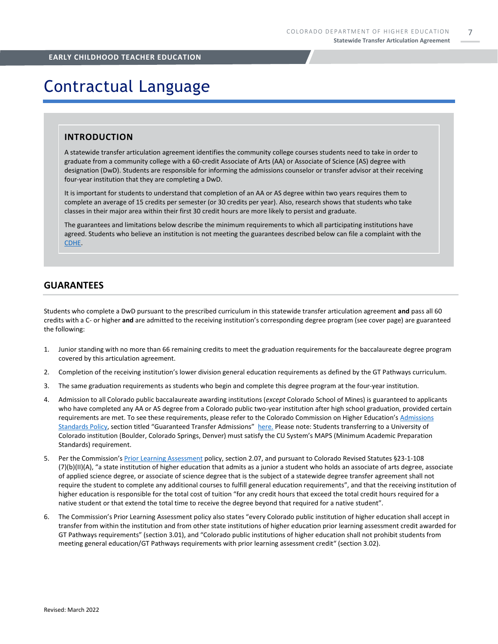7

#### **EARLY CHILDHOOD TEACHER EDUCATION**

## Contractual Language

#### **INTRODUCTION**

A statewide transfer articulation agreement identifies the community college courses students need to take in order to graduate from a community college with a 60-credit Associate of Arts (AA) or Associate of Science (AS) degree with designation (DwD). Students are responsible for informing the admissions counselor or transfer advisor at their receiving four-year institution that they are completing a DwD.

It is important for students to understand that completion of an AA or AS degree within two years requires them to complete an average of 15 credits per semester (or 30 credits per year). Also, research shows that students who take classes in their major area within their first 30 credit hours are more likely to persist and graduate.

The guarantees and limitations below describe the minimum requirements to which all participating institutions have agreed. Students who believe an institution is not meeting the guarantees described below can file a complaint with the [CDHE.](https://highered.colorado.gov/filing-student-complaint)

#### **GUARANTEES**

Students who complete a DwD pursuant to the prescribed curriculum in this statewide transfer articulation agreement **and** pass all 60 credits with a C- or higher **and** are admitted to the receiving institution's corresponding degree program (see cover page) are guaranteed the following:

- 1. Junior standing with no more than 66 remaining credits to meet the graduation requirements for the baccalaureate degree program covered by this articulation agreement.
- 2. Completion of the receiving institution's lower division general education requirements as defined by the GT Pathways curriculum.
- 3. The same graduation requirements as students who begin and complete this degree program at the four-year institution.
- 4. Admission to all Colorado public baccalaureate awarding institutions (*except* Colorado School of Mines) is guaranteed to applicants who have completed any AA or AS degree from a Colorado public two-year institution after high school graduation, provided certain requirements are met. To see these requirements, please refer to the Colorado Commission on Higher Education's [Admissions](https://highered.colorado.gov/sites/highered/files/2020-03/i-partf_0.pdf)  [Standards Policy](https://highered.colorado.gov/sites/highered/files/2020-03/i-partf_0.pdf), section titled "Guaranteed Transfer Admissions" [here.](https://highered.colorado.gov/educators/policy-funding/cche-policies-procedures) Please note: Students transferring to a University of Colorado institution (Boulder, Colorado Springs, Denver) must satisfy the CU System's MAPS (Minimum Academic Preparation Standards) requirement.
- 5. Per the Commission's [Prior Learning Assessment](https://highered.colorado.gov/sites/highered/files/2020-03/i-partx.pdf) policy, section 2.07, and pursuant to Colorado Revised Statutes §23-1-108 (7)(b)(II)(A), "a state institution of higher education that admits as a junior a student who holds an associate of arts degree, associate of applied science degree, or associate of science degree that is the subject of a statewide degree transfer agreement shall not require the student to complete any additional courses to fulfill general education requirements", and that the receiving institution of higher education is responsible for the total cost of tuition "for any credit hours that exceed the total credit hours required for a native student or that extend the total time to receive the degree beyond that required for a native student".
- 6. The Commission's Prior Learning Assessment policy also states "every Colorado public institution of higher education shall accept in transfer from within the institution and from other state institutions of higher education prior learning assessment credit awarded for GT Pathways requirements" (section 3.01), and "Colorado public institutions of higher education shall not prohibit students from meeting general education/GT Pathways requirements with prior learning assessment credit" (section 3.02).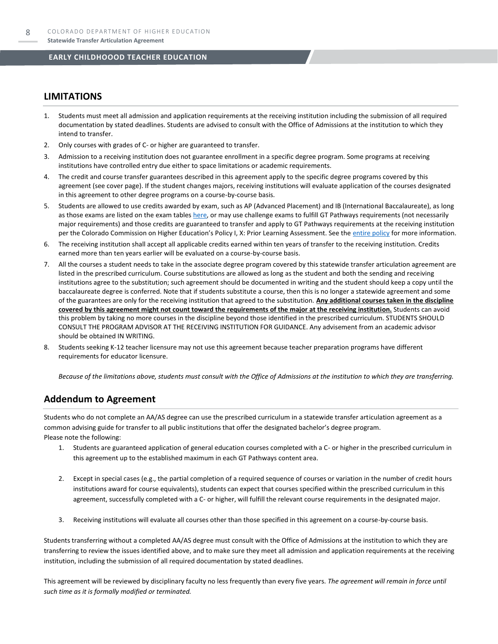#### **LIMITATIONS**

- 1. Students must meet all admission and application requirements at the receiving institution including the submission of all required documentation by stated deadlines. Students are advised to consult with the Office of Admissions at the institution to which they intend to transfer.
- 2. Only courses with grades of C- or higher are guaranteed to transfer.
- 3. Admission to a receiving institution does not guarantee enrollment in a specific degree program. Some programs at receiving institutions have controlled entry due either to space limitations or academic requirements.
- 4. The credit and course transfer guarantees described in this agreement apply to the specific degree programs covered by this agreement (see cover page). If the student changes majors, receiving institutions will evaluate application of the courses designated in this agreement to other degree programs on a course-by-course basis.
- 5. Students are allowed to use credits awarded by exam, such as AP (Advanced Placement) and IB (International Baccalaureate), as long as those exams are listed on the exam table[s here,](https://highered.colorado.gov/get-credit-for-what-you-already-know) or may use challenge exams to fulfill GT Pathways requirements (not necessarily major requirements) and those credits are guaranteed to transfer and apply to GT Pathways requirements at the receiving institution per the Colorado Commission on Higher Education's Policy I, X: Prior Learning Assessment. See the [entire policy](https://highered.colorado.gov/sites/highered/files/2020-03/i-partx.pdf) for more information.
- 6. The receiving institution shall accept all applicable credits earned within ten years of transfer to the receiving institution. Credits earned more than ten years earlier will be evaluated on a course-by-course basis.
- 7. All the courses a student needs to take in the associate degree program covered by this statewide transfer articulation agreement are listed in the prescribed curriculum. Course substitutions are allowed as long as the student and both the sending and receiving institutions agree to the substitution; such agreement should be documented in writing and the student should keep a copy until the baccalaureate degree is conferred. Note that if students substitute a course, then this is no longer a statewide agreement and some of the guarantees are only for the receiving institution that agreed to the substitution. **Any additional courses taken in the discipline covered by this agreement might not count toward the requirements of the major at the receiving institution.** Students can avoid this problem by taking no more courses in the discipline beyond those identified in the prescribed curriculum. STUDENTS SHOULD CONSULT THE PROGRAM ADVISOR AT THE RECEIVING INSTITUTION FOR GUIDANCE. Any advisement from an academic advisor should be obtained IN WRITING.
- Students seeking K-12 teacher licensure may not use this agreement because teacher preparation programs have different requirements for educator licensure.

*Because of the limitations above, students must consult with the Office of Admissions at the institution to which they are transferring.*

#### **Addendum to Agreement**

Students who do not complete an AA/AS degree can use the prescribed curriculum in a statewide transfer articulation agreement as a common advising guide for transfer to all public institutions that offer the designated bachelor's degree program. Please note the following:

- 1. Students are guaranteed application of general education courses completed with a C- or higher in the prescribed curriculum in this agreement up to the established maximum in each GT Pathways content area.
- 2. Except in special cases (e.g., the partial completion of a required sequence of courses or variation in the number of credit hours institutions award for course equivalents), students can expect that courses specified within the prescribed curriculum in this agreement, successfully completed with a C- or higher, will fulfill the relevant course requirements in the designated major.
- 3. Receiving institutions will evaluate all courses other than those specified in this agreement on a course-by-course basis.

Students transferring without a completed AA/AS degree must consult with the Office of Admissions at the institution to which they are transferring to review the issues identified above, and to make sure they meet all admission and application requirements at the receiving institution, including the submission of all required documentation by stated deadlines.

This agreement will be reviewed by disciplinary faculty no less frequently than every five years. *The agreement will remain in force until such time as it is formally modified or terminated.*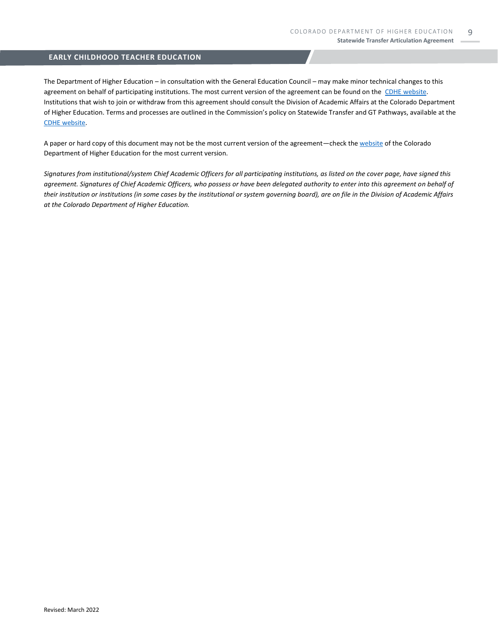The Department of Higher Education – in consultation with the General Education Council – may make minor technical changes to this agreement on behalf of participating institutions. The most current version of the agreement can be found on the [CDHE website.](https://highered.colorado.gov/transfer-degrees) Institutions that wish to join or withdraw from this agreement should consult the Division of Academic Affairs at the Colorado Department of Higher Education. Terms and processes are outlined in the Commission's policy on Statewide Transfer and GT Pathways, available at the [CDHE website.](https://highered.colorado.gov/educators/policy-funding/general-education-ge-council/gtpathways/transfer-agreements)

A paper or hard copy of this document may not be the most current version of the agreement—check th[e website](https://highered.colorado.gov/transfer-degrees) of the Colorado Department of Higher Education for the most current version.

*Signatures from institutional/system Chief Academic Officers for all participating institutions, as listed on the cover page, have signed this agreement. Signatures of Chief Academic Officers, who possess or have been delegated authority to enter into this agreement on behalf of their institution or institutions (in some cases by the institutional or system governing board), are on file in the Division of Academic Affairs at the Colorado Department of Higher Education.*